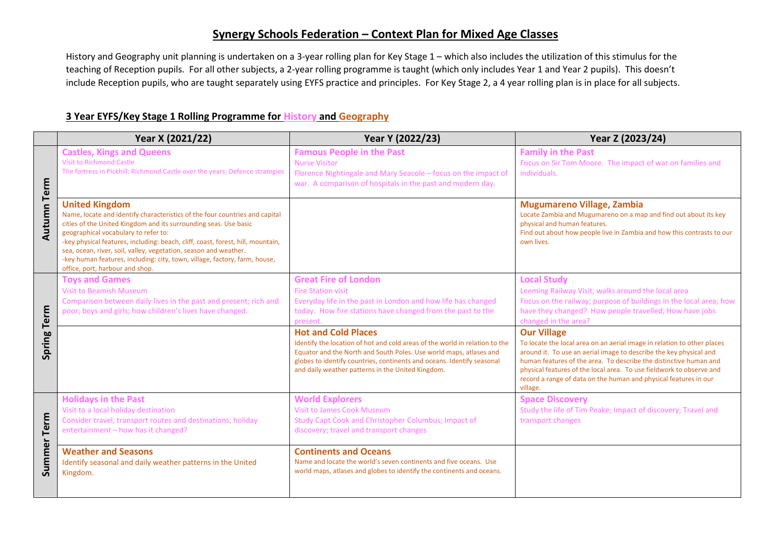## **Synergy Schools Federation – Context Plan for Mixed Age Classes**

History and Geography unit planning is undertaken on a 3-year rolling plan for Key Stage 1 – which also includes the utilization of this stimulus for the teaching of Reception pupils. For all other subjects, a 2-year rolling programme is taught (which only includes Year 1 and Year 2 pupils). This doesn't include Reception pupils, who are taught separately using EYFS practice and principles. For Key Stage 2, a 4 year rolling plan is in place for all subjects.

## **3 Year EYFS/Key Stage 1 Rolling Programme for History and Geography**

|                    | Year X (2021/22)                                                                                                                                                                                                                                                                                                                                                                                                                                                                         | Year Y (2022/23)                                                                                                                                                                                                                                                                                               | Year Z (2023/24)                                                                                                                                                                                                                                                                                                                                                                                 |
|--------------------|------------------------------------------------------------------------------------------------------------------------------------------------------------------------------------------------------------------------------------------------------------------------------------------------------------------------------------------------------------------------------------------------------------------------------------------------------------------------------------------|----------------------------------------------------------------------------------------------------------------------------------------------------------------------------------------------------------------------------------------------------------------------------------------------------------------|--------------------------------------------------------------------------------------------------------------------------------------------------------------------------------------------------------------------------------------------------------------------------------------------------------------------------------------------------------------------------------------------------|
| <b>Autumn Term</b> | <b>Castles, Kings and Queens</b><br><b>Visit to Richmond Castle</b><br>The fortress in Pickhill; Richmond Castle over the years; Defence strategies                                                                                                                                                                                                                                                                                                                                      | <b>Famous People in the Past</b><br><b>Nurse Visitor</b><br>Florence Nightingale and Mary Seacole - focus on the impact of<br>war. A comparison of hospitals in the past and modern day.                                                                                                                       | <b>Family in the Past</b><br>Focus on Sir Tom Moore. The impact of war on families and<br>individuals.                                                                                                                                                                                                                                                                                           |
|                    | <b>United Kingdom</b><br>Name, locate and identify characteristics of the four countries and capital<br>cities of the United Kingdom and its surrounding seas. Use basic<br>geographical vocabulary to refer to:<br>-key physical features, including: beach, cliff, coast, forest, hill, mountain,<br>sea, ocean, river, soil, valley, vegetation, season and weather.<br>-key human features, including: city, town, village, factory, farm, house,<br>office, port, harbour and shop. |                                                                                                                                                                                                                                                                                                                | Mugumareno Village, Zambia<br>Locate Zambia and Mugumareno on a map and find out about its key<br>physical and human features.<br>Find out about how people live in Zambia and how this contrasts to our<br>own lives.                                                                                                                                                                           |
|                    | <b>Toys and Games</b><br><b>Visit to Beamish Museum</b><br>Comparison between daily lives in the past and present; rich and<br>poor; boys and girls; how children's lives have changed.                                                                                                                                                                                                                                                                                                  | <b>Great Fire of London</b><br><b>Fire Station visit</b><br>Everyday life in the past in London and how life has changed<br>today. How fire stations have changed from the past to the<br>present.                                                                                                             | <b>Local Study</b><br>Leeming Railway Visit; walks around the local area<br>Focus on the railway; purpose of buildings in the local area; how<br>have they changed? How people travelled; How have jobs<br>changed in the area?                                                                                                                                                                  |
| Spring Term        |                                                                                                                                                                                                                                                                                                                                                                                                                                                                                          | <b>Hot and Cold Places</b><br>Identify the location of hot and cold areas of the world in relation to the<br>Equator and the North and South Poles. Use world maps, atlases and<br>globes to identify countries, continents and oceans. Identify seasonal<br>and daily weather patterns in the United Kingdom. | <b>Our Village</b><br>To locate the local area on an aerial image in relation to other places<br>around it. To use an aerial image to describe the key physical and<br>human features of the area. To describe the distinctive human and<br>physical features of the local area. To use fieldwork to observe and<br>record a range of data on the human and physical features in our<br>village. |
| Summer Term        | <b>Holidays in the Past</b><br>Visit to a local holiday destination<br>Consider travel, transport routes and destinations; holiday<br>entertainment - how has it changed?                                                                                                                                                                                                                                                                                                                | <b>World Explorers</b><br><b>Visit to James Cook Museum</b><br>Study Capt Cook and Christopher Columbus; Impact of<br>discovery; travel and transport changes                                                                                                                                                  | <b>Space Discovery</b><br>Study the life of Tim Peake; Impact of discovery; Travel and<br>transport changes                                                                                                                                                                                                                                                                                      |
|                    | <b>Weather and Seasons</b><br>Identify seasonal and daily weather patterns in the United<br>Kingdom.                                                                                                                                                                                                                                                                                                                                                                                     | <b>Continents and Oceans</b><br>Name and locate the world's seven continents and five oceans. Use<br>world maps, atlases and globes to identify the continents and oceans.                                                                                                                                     |                                                                                                                                                                                                                                                                                                                                                                                                  |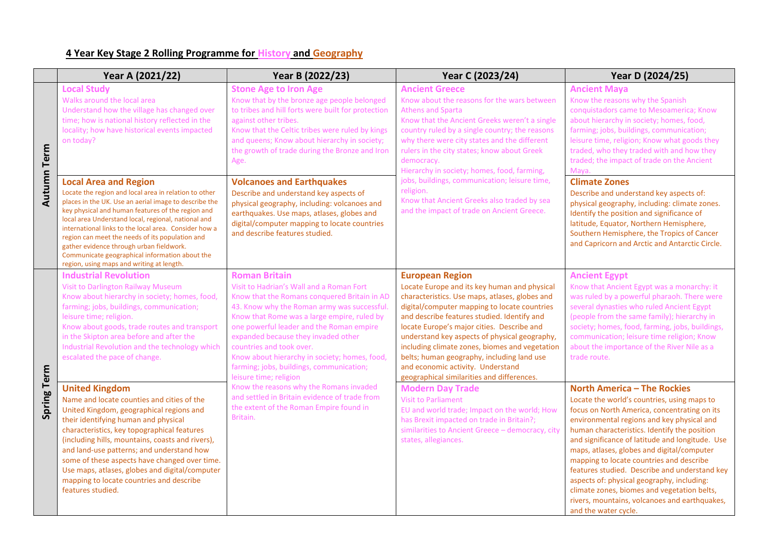## **4 Year Key Stage 2 Rolling Programme for History and Geography**

|                    | Year A (2021/22)                                                                                                                                                                                                                                                                                                                                                                                                                                                                  | Year B (2022/23)                                                                                                                                                                                                                                                                                                                                                                                                                                     | Year C (2023/24)                                                                                                                                                                                                                                                                                                                                                                                                                                                                                          | Year D (2024/25)                                                                                                                                                                                                                                                                                                                                                                                                                                                                                                                                                                                    |
|--------------------|-----------------------------------------------------------------------------------------------------------------------------------------------------------------------------------------------------------------------------------------------------------------------------------------------------------------------------------------------------------------------------------------------------------------------------------------------------------------------------------|------------------------------------------------------------------------------------------------------------------------------------------------------------------------------------------------------------------------------------------------------------------------------------------------------------------------------------------------------------------------------------------------------------------------------------------------------|-----------------------------------------------------------------------------------------------------------------------------------------------------------------------------------------------------------------------------------------------------------------------------------------------------------------------------------------------------------------------------------------------------------------------------------------------------------------------------------------------------------|-----------------------------------------------------------------------------------------------------------------------------------------------------------------------------------------------------------------------------------------------------------------------------------------------------------------------------------------------------------------------------------------------------------------------------------------------------------------------------------------------------------------------------------------------------------------------------------------------------|
| <b>Autumn Term</b> | <b>Local Study</b><br>Walks around the local area<br>Understand how the village has changed over<br>time; how is national history reflected in the<br>locality; how have historical events impacted<br>on today?<br><b>Local Area and Region</b>                                                                                                                                                                                                                                  | <b>Stone Age to Iron Age</b><br>Know that by the bronze age people belonged<br>to tribes and hill forts were built for protection<br>against other tribes.<br>Know that the Celtic tribes were ruled by kings<br>and queens; Know about hierarchy in society;<br>the growth of trade during the Bronze and Iron<br>Age.<br><b>Volcanoes and Earthquakes</b>                                                                                          | <b>Ancient Greece</b><br>Know about the reasons for the wars between<br><b>Athens and Sparta</b><br>Know that the Ancient Greeks weren't a single<br>country ruled by a single country; the reasons<br>why there were city states and the different<br>rulers in the city states; know about Greek<br>democracy.<br>Hierarchy in society; homes, food, farming,<br>jobs, buildings, communication; leisure time,                                                                                          | <b>Ancient Maya</b><br>Know the reasons why the Spanish<br>conquistadors came to Mesoamerica; Know<br>about hierarchy in society; homes, food,<br>farming; jobs, buildings, communication;<br>leisure time, religion; Know what goods they<br>traded, who they traded with and how they<br>traded; the impact of trade on the Ancient<br>Maya.<br><b>Climate Zones</b>                                                                                                                                                                                                                              |
|                    | Locate the region and local area in relation to other<br>places in the UK. Use an aerial image to describe the<br>key physical and human features of the region and<br>local area Understand local, regional, national and<br>international links to the local area. Consider how a<br>region can meet the needs of its population and<br>gather evidence through urban fieldwork.<br>Communicate geographical information about the<br>region, using maps and writing at length. | Describe and understand key aspects of<br>physical geography, including: volcanoes and<br>earthquakes. Use maps, atlases, globes and<br>digital/computer mapping to locate countries<br>and describe features studied.                                                                                                                                                                                                                               | religion.<br>Know that Ancient Greeks also traded by sea<br>and the impact of trade on Ancient Greece.                                                                                                                                                                                                                                                                                                                                                                                                    | Describe and understand key aspects of:<br>physical geography, including: climate zones.<br>Identify the position and significance of<br>latitude, Equator, Northern Hemisphere,<br>Southern Hemisphere, the Tropics of Cancer<br>and Capricorn and Arctic and Antarctic Circle.                                                                                                                                                                                                                                                                                                                    |
| Spring Term        | <b>Industrial Revolution</b><br><b>Visit to Darlington Railway Museum</b><br>Know about hierarchy in society; homes, food,<br>farming; jobs, buildings, communication;<br>leisure time; religion.<br>Know about goods, trade routes and transport<br>in the Skipton area before and after the<br>Industrial Revolution and the technology which<br>escalated the pace of change.                                                                                                  | <b>Roman Britain</b><br>Visit to Hadrian's Wall and a Roman Fort<br>Know that the Romans conquered Britain in AD<br>43. Know why the Roman army was successful.<br>Know that Rome was a large empire, ruled by<br>one powerful leader and the Roman empire<br>expanded because they invaded other<br>countries and took over.<br>Know about hierarchy in society; homes, food,<br>farming; jobs, buildings, communication;<br>leisure time; religion | <b>European Region</b><br>Locate Europe and its key human and physical<br>characteristics. Use maps, atlases, globes and<br>digital/computer mapping to locate countries<br>and describe features studied. Identify and<br>locate Europe's major cities. Describe and<br>understand key aspects of physical geography,<br>including climate zones, biomes and vegetation<br>belts; human geography, including land use<br>and economic activity. Understand<br>geographical similarities and differences. | <b>Ancient Egypt</b><br>Know that Ancient Egypt was a monarchy: it<br>was ruled by a powerful pharaoh. There were<br>several dynasties who ruled Ancient Egypt<br>(people from the same family); hierarchy in<br>society; homes, food, farming, jobs, buildings,<br>communication; leisure time religion; Know<br>about the importance of the River Nile as a<br>trade route.                                                                                                                                                                                                                       |
|                    | <b>United Kingdom</b><br>Name and locate counties and cities of the<br>United Kingdom, geographical regions and<br>their identifying human and physical<br>characteristics, key topographical features<br>(including hills, mountains, coasts and rivers),<br>and land-use patterns; and understand how<br>some of these aspects have changed over time.<br>Use maps, atlases, globes and digital/computer<br>mapping to locate countries and describe<br>features studied.       | Know the reasons why the Romans invaded<br>and settled in Britain evidence of trade from<br>the extent of the Roman Empire found in<br>Britain.                                                                                                                                                                                                                                                                                                      | <b>Modern Day Trade</b><br><b>Visit to Parliament</b><br>EU and world trade; Impact on the world; How<br>has Brexit impacted on trade in Britain?;<br>similarities to Ancient Greece - democracy, city<br>states, allegiances.                                                                                                                                                                                                                                                                            | <b>North America - The Rockies</b><br>Locate the world's countries, using maps to<br>focus on North America, concentrating on its<br>environmental regions and key physical and<br>human characteristics. Identify the position<br>and significance of latitude and longitude. Use<br>maps, atlases, globes and digital/computer<br>mapping to locate countries and describe<br>features studied. Describe and understand key<br>aspects of: physical geography, including:<br>climate zones, biomes and vegetation belts,<br>rivers, mountains, volcanoes and earthquakes,<br>and the water cycle. |